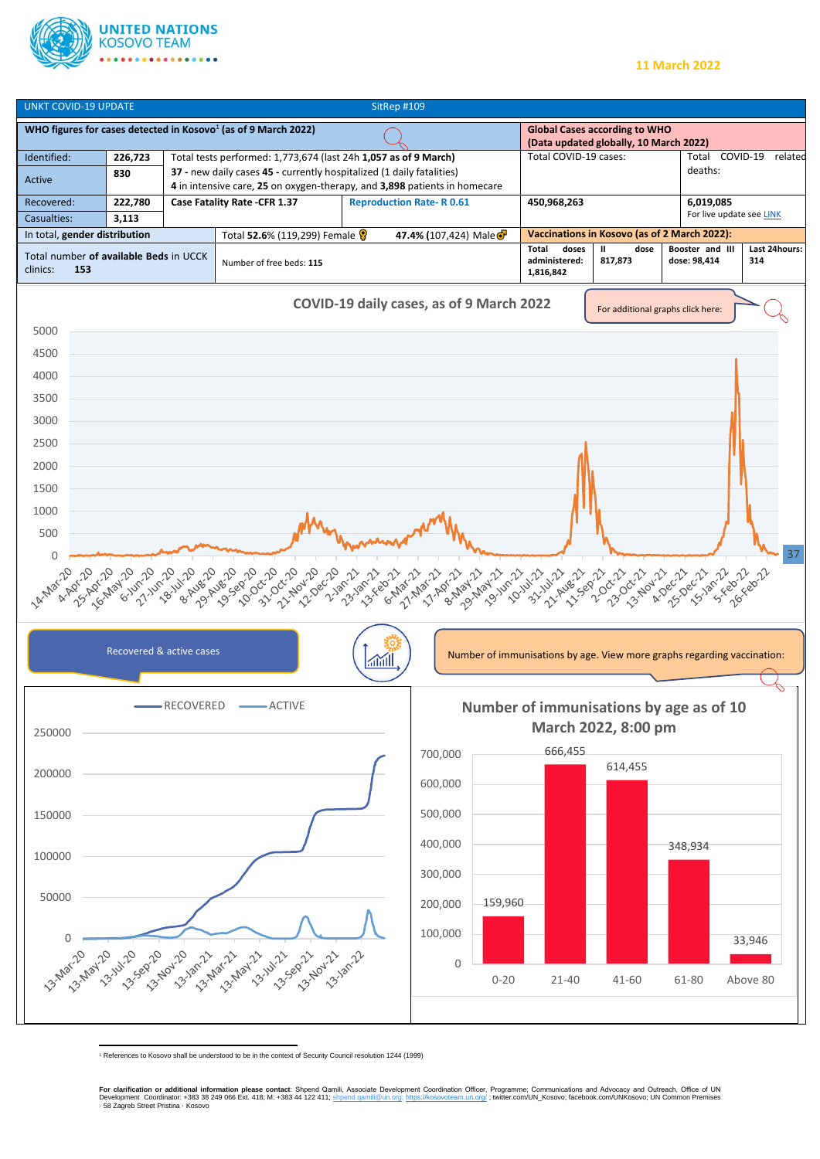

## **11 March 2022**



<sup>1</sup> References to Kosovo shall be understood to be in the context of Security Council resolution 1244 (1999)

**For clarification or additional information please contact**: Shpend Qamili, Associate Development Coordination Officer, Programme; Communications and Advocacy and Outreach, Office of UN<br>Development Coordinator: +383 38 2